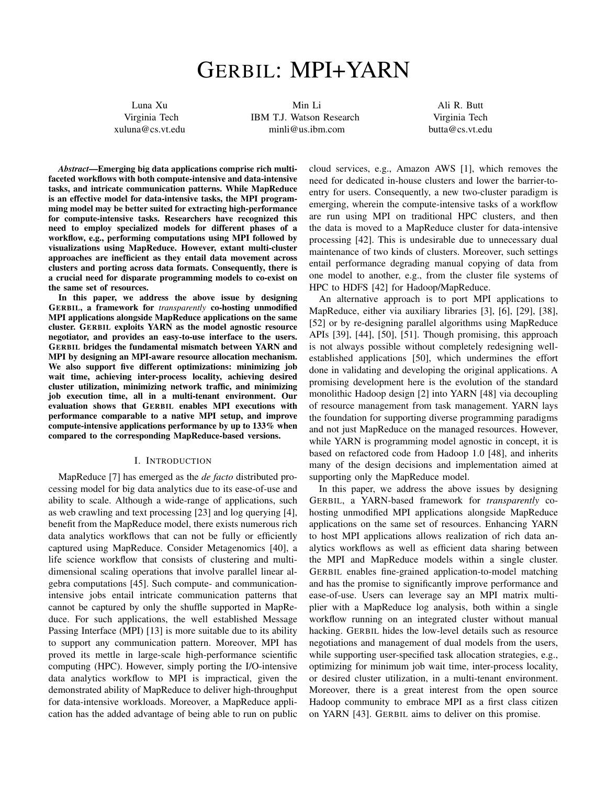# GERBIL: MPI+YARN

Luna Xu Virginia Tech xuluna@cs.vt.edu

Min Li IBM T.J. Watson Research minli@us.ibm.com

Ali R. Butt Virginia Tech butta@cs.vt.edu

*Abstract*—Emerging big data applications comprise rich multifaceted workflows with both compute-intensive and data-intensive tasks, and intricate communication patterns. While MapReduce is an effective model for data-intensive tasks, the MPI programming model may be better suited for extracting high-performance for compute-intensive tasks. Researchers have recognized this need to employ specialized models for different phases of a workflow, e.g., performing computations using MPI followed by visualizations using MapReduce. However, extant multi-cluster approaches are inefficient as they entail data movement across clusters and porting across data formats. Consequently, there is a crucial need for disparate programming models to co-exist on the same set of resources.

In this paper, we address the above issue by designing GERBIL, a framework for *transparently* co-hosting unmodified MPI applications alongside MapReduce applications on the same cluster. GERBIL exploits YARN as the model agnostic resource negotiator, and provides an easy-to-use interface to the users. GERBIL bridges the fundamental mismatch between YARN and MPI by designing an MPI-aware resource allocation mechanism. We also support five different optimizations: minimizing job wait time, achieving inter-process locality, achieving desired cluster utilization, minimizing network traffic, and minimizing job execution time, all in a multi-tenant environment. Our evaluation shows that GERBIL enables MPI executions with performance comparable to a native MPI setup, and improve compute-intensive applications performance by up to 133% when compared to the corresponding MapReduce-based versions.

#### I. INTRODUCTION

MapReduce [7] has emerged as the *de facto* distributed processing model for big data analytics due to its ease-of-use and ability to scale. Although a wide-range of applications, such as web crawling and text processing [23] and log querying [4], benefit from the MapReduce model, there exists numerous rich data analytics workflows that can not be fully or efficiently captured using MapReduce. Consider Metagenomics [40], a life science workflow that consists of clustering and multidimensional scaling operations that involve parallel linear algebra computations [45]. Such compute- and communicationintensive jobs entail intricate communication patterns that cannot be captured by only the shuffle supported in MapReduce. For such applications, the well established Message Passing Interface (MPI) [13] is more suitable due to its ability to support any communication pattern. Moreover, MPI has proved its mettle in large-scale high-performance scientific computing (HPC). However, simply porting the I/O-intensive data analytics workflow to MPI is impractical, given the demonstrated ability of MapReduce to deliver high-throughput for data-intensive workloads. Moreover, a MapReduce application has the added advantage of being able to run on public cloud services, e.g., Amazon AWS [1], which removes the need for dedicated in-house clusters and lower the barrier-toentry for users. Consequently, a new two-cluster paradigm is emerging, wherein the compute-intensive tasks of a workflow are run using MPI on traditional HPC clusters, and then the data is moved to a MapReduce cluster for data-intensive processing [42]. This is undesirable due to unnecessary dual maintenance of two kinds of clusters. Moreover, such settings entail performance degrading manual copying of data from one model to another, e.g., from the cluster file systems of HPC to HDFS [42] for Hadoop/MapReduce.

An alternative approach is to port MPI applications to MapReduce, either via auxiliary libraries [3], [6], [29], [38], [52] or by re-designing parallel algorithms using MapReduce APIs [39], [44], [50], [51]. Though promising, this approach is not always possible without completely redesigning wellestablished applications [50], which undermines the effort done in validating and developing the original applications. A promising development here is the evolution of the standard monolithic Hadoop design [2] into YARN [48] via decoupling of resource management from task management. YARN lays the foundation for supporting diverse programming paradigms and not just MapReduce on the managed resources. However, while YARN is programming model agnostic in concept, it is based on refactored code from Hadoop 1.0 [48], and inherits many of the design decisions and implementation aimed at supporting only the MapReduce model.

In this paper, we address the above issues by designing GERBIL, a YARN-based framework for *transparently* cohosting unmodified MPI applications alongside MapReduce applications on the same set of resources. Enhancing YARN to host MPI applications allows realization of rich data analytics workflows as well as efficient data sharing between the MPI and MapReduce models within a single cluster. GERBIL enables fine-grained application-to-model matching and has the promise to significantly improve performance and ease-of-use. Users can leverage say an MPI matrix multiplier with a MapReduce log analysis, both within a single workflow running on an integrated cluster without manual hacking. GERBIL hides the low-level details such as resource negotiations and management of dual models from the users, while supporting user-specified task allocation strategies, e.g., optimizing for minimum job wait time, inter-process locality, or desired cluster utilization, in a multi-tenant environment. Moreover, there is a great interest from the open source Hadoop community to embrace MPI as a first class citizen on YARN [43]. GERBIL aims to deliver on this promise.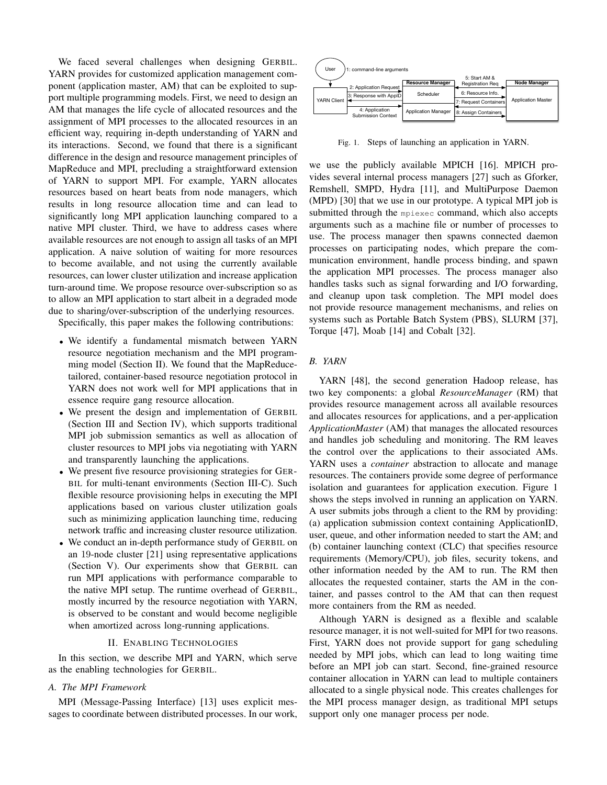We faced several challenges when designing GERBIL. YARN provides for customized application management component (application master, AM) that can be exploited to support multiple programming models. First, we need to design an AM that manages the life cycle of allocated resources and the assignment of MPI processes to the allocated resources in an efficient way, requiring in-depth understanding of YARN and its interactions. Second, we found that there is a significant difference in the design and resource management principles of MapReduce and MPI, precluding a straightforward extension of YARN to support MPI. For example, YARN allocates resources based on heart beats from node managers, which results in long resource allocation time and can lead to significantly long MPI application launching compared to a native MPI cluster. Third, we have to address cases where available resources are not enough to assign all tasks of an MPI application. A naive solution of waiting for more resources to become available, and not using the currently available resources, can lower cluster utilization and increase application turn-around time. We propose resource over-subscription so as to allow an MPI application to start albeit in a degraded mode due to sharing/over-subscription of the underlying resources.

Specifically, this paper makes the following contributions:

- We identify a fundamental mismatch between YARN resource negotiation mechanism and the MPI programming model (Section II). We found that the MapReducetailored, container-based resource negotiation protocol in YARN does not work well for MPI applications that in essence require gang resource allocation.
- We present the design and implementation of GERBIL (Section III and Section IV), which supports traditional MPI job submission semantics as well as allocation of cluster resources to MPI jobs via negotiating with YARN and transparently launching the applications.
- We present five resource provisioning strategies for GER-BIL for multi-tenant environments (Section III-C). Such flexible resource provisioning helps in executing the MPI applications based on various cluster utilization goals such as minimizing application launching time, reducing network traffic and increasing cluster resource utilization.
- We conduct an in-depth performance study of GERBIL on an 19-node cluster [21] using representative applications (Section V). Our experiments show that GERBIL can run MPI applications with performance comparable to the native MPI setup. The runtime overhead of GERBIL, mostly incurred by the resource negotiation with YARN, is observed to be constant and would become negligible when amortized across long-running applications.

## II. ENABLING TECHNOLOGIES

In this section, we describe MPI and YARN, which serve as the enabling technologies for GERBIL.

## *A. The MPI Framework*

MPI (Message-Passing Interface) [13] uses explicit messages to coordinate between distributed processes. In our work,



Fig. 1. Steps of launching an application in YARN.

we use the publicly available MPICH [16]. MPICH provides several internal process managers [27] such as Gforker, Remshell, SMPD, Hydra [11], and MultiPurpose Daemon (MPD) [30] that we use in our prototype. A typical MPI job is submitted through the mpiexec command, which also accepts arguments such as a machine file or number of processes to use. The process manager then spawns connected daemon processes on participating nodes, which prepare the communication environment, handle process binding, and spawn the application MPI processes. The process manager also handles tasks such as signal forwarding and I/O forwarding, and cleanup upon task completion. The MPI model does not provide resource management mechanisms, and relies on systems such as Portable Batch System (PBS), SLURM [37], Torque [47], Moab [14] and Cobalt [32].

## *B. YARN*

YARN [48], the second generation Hadoop release, has two key components: a global *ResourceManager* (RM) that provides resource management across all available resources and allocates resources for applications, and a per-application *ApplicationMaster* (AM) that manages the allocated resources and handles job scheduling and monitoring. The RM leaves the control over the applications to their associated AMs. YARN uses a *container* abstraction to allocate and manage resources. The containers provide some degree of performance isolation and guarantees for application execution. Figure 1 shows the steps involved in running an application on YARN. A user submits jobs through a client to the RM by providing: (a) application submission context containing ApplicationID, user, queue, and other information needed to start the AM; and (b) container launching context (CLC) that specifies resource requirements (Memory/CPU), job files, security tokens, and other information needed by the AM to run. The RM then allocates the requested container, starts the AM in the container, and passes control to the AM that can then request more containers from the RM as needed.

Although YARN is designed as a flexible and scalable resource manager, it is not well-suited for MPI for two reasons. First, YARN does not provide support for gang scheduling needed by MPI jobs, which can lead to long waiting time before an MPI job can start. Second, fine-grained resource container allocation in YARN can lead to multiple containers allocated to a single physical node. This creates challenges for the MPI process manager design, as traditional MPI setups support only one manager process per node.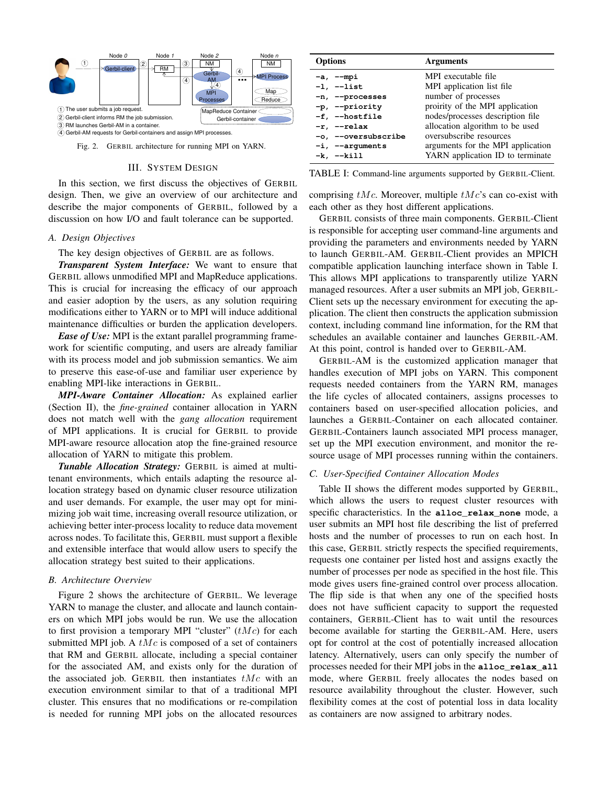

Fig. 2. GERBIL architecture for running MPI on YARN.

# III. SYSTEM DESIGN

In this section, we first discuss the objectives of GERBIL design. Then, we give an overview of our architecture and describe the major components of GERBIL, followed by a discussion on how I/O and fault tolerance can be supported.

#### *A. Design Objectives*

The key design objectives of GERBIL are as follows.

*Transparent System Interface:* We want to ensure that GERBIL allows unmodified MPI and MapReduce applications. This is crucial for increasing the efficacy of our approach and easier adoption by the users, as any solution requiring modifications either to YARN or to MPI will induce additional maintenance difficulties or burden the application developers.

*Ease of Use:* MPI is the extant parallel programming framework for scientific computing, and users are already familiar with its process model and job submission semantics. We aim to preserve this ease-of-use and familiar user experience by enabling MPI-like interactions in GERBIL.

*MPI-Aware Container Allocation:* As explained earlier (Section II), the *fine-grained* container allocation in YARN does not match well with the *gang allocation* requirement of MPI applications. It is crucial for GERBIL to provide MPI-aware resource allocation atop the fine-grained resource allocation of YARN to mitigate this problem.

*Tunable Allocation Strategy:* GERBIL is aimed at multitenant environments, which entails adapting the resource allocation strategy based on dynamic cluser resource utilization and user demands. For example, the user may opt for minimizing job wait time, increasing overall resource utilization, or achieving better inter-process locality to reduce data movement across nodes. To facilitate this, GERBIL must support a flexible and extensible interface that would allow users to specify the allocation strategy best suited to their applications.

#### *B. Architecture Overview*

Figure 2 shows the architecture of GERBIL. We leverage YARN to manage the cluster, and allocate and launch containers on which MPI jobs would be run. We use the allocation to first provision a temporary MPI "cluster"  $(tMc)$  for each submitted MPI job. A  $tMc$  is composed of a set of containers that RM and GERBIL allocate, including a special container for the associated AM, and exists only for the duration of the associated job. GERBIL then instantiates  $tMc$  with an execution environment similar to that of a traditional MPI cluster. This ensures that no modifications or re-compilation is needed for running MPI jobs on the allocated resources

| <b>Options</b>      | <b>Arguments</b>                  |
|---------------------|-----------------------------------|
| -a, --mpi           | MPI executable file               |
| -1, --list          | MPI application list file.        |
| -n, --processes     | number of processes               |
| -p, --priority      | proirity of the MPI application   |
| -f, --hostfile      | nodes/processes description file  |
| $-r$ , $-r$ elax    | allocation algorithm to be used   |
| -o, --oversubscribe | oversubscribe resources           |
| $-i$ , $-arguments$ | arguments for the MPI application |
| $-k$ , $-ki11$      | YARN application ID to terminate  |

TABLE I: Command-line arguments supported by GERBIL-Client.

comprising  $tMc$ . Moreover, multiple  $tMc$ 's can co-exist with each other as they host different applications.

GERBIL consists of three main components. GERBIL-Client is responsible for accepting user command-line arguments and providing the parameters and environments needed by YARN to launch GERBIL-AM. GERBIL-Client provides an MPICH compatible application launching interface shown in Table I. This allows MPI applications to transparently utilize YARN managed resources. After a user submits an MPI job, GERBIL-Client sets up the necessary environment for executing the application. The client then constructs the application submission context, including command line information, for the RM that schedules an available container and launches GERBIL-AM. At this point, control is handed over to GERBIL-AM.

GERBIL-AM is the customized application manager that handles execution of MPI jobs on YARN. This component requests needed containers from the YARN RM, manages the life cycles of allocated containers, assigns processes to containers based on user-specified allocation policies, and launches a GERBIL-Container on each allocated container. GERBIL-Containers launch associated MPI process manager, set up the MPI execution environment, and monitor the resource usage of MPI processes running within the containers.

# *C. User-Specified Container Allocation Modes*

Table II shows the different modes supported by GERBIL, which allows the users to request cluster resources with specific characteristics. In the **alloc\_relax\_none** mode, a user submits an MPI host file describing the list of preferred hosts and the number of processes to run on each host. In this case, GERBIL strictly respects the specified requirements, requests one container per listed host and assigns exactly the number of processes per node as specified in the host file. This mode gives users fine-grained control over process allocation. The flip side is that when any one of the specified hosts does not have sufficient capacity to support the requested containers, GERBIL-Client has to wait until the resources become available for starting the GERBIL-AM. Here, users opt for control at the cost of potentially increased allocation latency. Alternatively, users can only specify the number of processes needed for their MPI jobs in the **alloc\_relax\_all** mode, where GERBIL freely allocates the nodes based on resource availability throughout the cluster. However, such flexibility comes at the cost of potential loss in data locality as containers are now assigned to arbitrary nodes.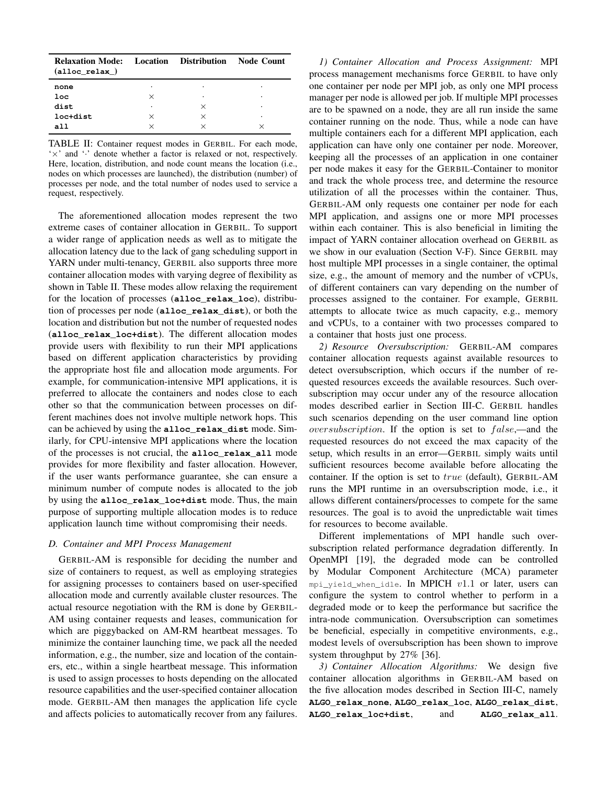| <b>Relaxation Mode:</b><br>$(alloc$ relax) |          | Location Distribution Node Count |   |
|--------------------------------------------|----------|----------------------------------|---|
| none                                       | ٠        | ٠                                | ٠ |
| loc                                        | $\times$ |                                  | ٠ |
| dist                                       | ٠        | $\times$                         | ٠ |
| $1$ oc $+$ dist                            | ×        | $\times$                         | ٠ |
| a11                                        | ×        | ×                                | × |

TABLE II: Container request modes in GERBIL. For each mode,  $\forall x$  and  $\lor$  denote whether a factor is relaxed or not, respectively. Here, location, distribution, and node count means the location (i.e., nodes on which processes are launched), the distribution (number) of processes per node, and the total number of nodes used to service a request, respectively.

The aforementioned allocation modes represent the two extreme cases of container allocation in GERBIL. To support a wider range of application needs as well as to mitigate the allocation latency due to the lack of gang scheduling support in YARN under multi-tenancy, GERBIL also supports three more container allocation modes with varying degree of flexibility as shown in Table II. These modes allow relaxing the requirement for the location of processes (**alloc\_relax\_loc**), distribution of processes per node (**alloc\_relax\_dist**), or both the location and distribution but not the number of requested nodes (**alloc\_relax\_loc+dist**). The different allocation modes provide users with flexibility to run their MPI applications based on different application characteristics by providing the appropriate host file and allocation mode arguments. For example, for communication-intensive MPI applications, it is preferred to allocate the containers and nodes close to each other so that the communication between processes on different machines does not involve multiple network hops. This can be achieved by using the **alloc\_relax\_dist** mode. Similarly, for CPU-intensive MPI applications where the location of the processes is not crucial, the **alloc\_relax\_all** mode provides for more flexibility and faster allocation. However, if the user wants performance guarantee, she can ensure a minimum number of compute nodes is allocated to the job by using the **alloc\_relax\_loc+dist** mode. Thus, the main purpose of supporting multiple allocation modes is to reduce application launch time without compromising their needs.

# *D. Container and MPI Process Management*

GERBIL-AM is responsible for deciding the number and size of containers to request, as well as employing strategies for assigning processes to containers based on user-specified allocation mode and currently available cluster resources. The actual resource negotiation with the RM is done by GERBIL-AM using container requests and leases, communication for which are piggybacked on AM-RM heartbeat messages. To minimize the container launching time, we pack all the needed information, e.g., the number, size and location of the containers, etc., within a single heartbeat message. This information is used to assign processes to hosts depending on the allocated resource capabilities and the user-specified container allocation mode. GERBIL-AM then manages the application life cycle and affects policies to automatically recover from any failures.

*1) Container Allocation and Process Assignment:* MPI process management mechanisms force GERBIL to have only one container per node per MPI job, as only one MPI process manager per node is allowed per job. If multiple MPI processes are to be spawned on a node, they are all run inside the same container running on the node. Thus, while a node can have multiple containers each for a different MPI application, each application can have only one container per node. Moreover, keeping all the processes of an application in one container per node makes it easy for the GERBIL-Container to monitor and track the whole process tree, and determine the resource utilization of all the processes within the container. Thus, GERBIL-AM only requests one container per node for each MPI application, and assigns one or more MPI processes within each container. This is also beneficial in limiting the impact of YARN container allocation overhead on GERBIL as we show in our evaluation (Section V-F). Since GERBIL may host multiple MPI processes in a single container, the optimal size, e.g., the amount of memory and the number of vCPUs, of different containers can vary depending on the number of processes assigned to the container. For example, GERBIL attempts to allocate twice as much capacity, e.g., memory and vCPUs, to a container with two processes compared to a container that hosts just one process.

*2) Resource Oversubscription:* GERBIL-AM compares container allocation requests against available resources to detect oversubscription, which occurs if the number of requested resources exceeds the available resources. Such oversubscription may occur under any of the resource allocation modes described earlier in Section III-C. GERBIL handles such scenarios depending on the user command line option  $oversubscription$ . If the option is set to  $false$ ,—and the requested resources do not exceed the max capacity of the setup, which results in an error—GERBIL simply waits until sufficient resources become available before allocating the container. If the option is set to  $true$  (default), GERBIL-AM runs the MPI runtime in an oversubscription mode, i.e., it allows different containers/processes to compete for the same resources. The goal is to avoid the unpredictable wait times for resources to become available.

Different implementations of MPI handle such oversubscription related performance degradation differently. In OpenMPI [19], the degraded mode can be controlled by Modular Component Architecture (MCA) parameter  $mpi$ -yield\_when\_idle. In MPICH  $v1.1$  or later, users can configure the system to control whether to perform in a degraded mode or to keep the performance but sacrifice the intra-node communication. Oversubscription can sometimes be beneficial, especially in competitive environments, e.g., modest levels of oversubscription has been shown to improve system throughput by 27% [36].

*3) Container Allocation Algorithms:* We design five container allocation algorithms in GERBIL-AM based on the five allocation modes described in Section III-C, namely **ALGO\_relax\_none**, **ALGO\_relax\_loc**, **ALGO\_relax\_dist**, **ALGO\_relax\_loc+dist**, and **ALGO\_relax\_all**.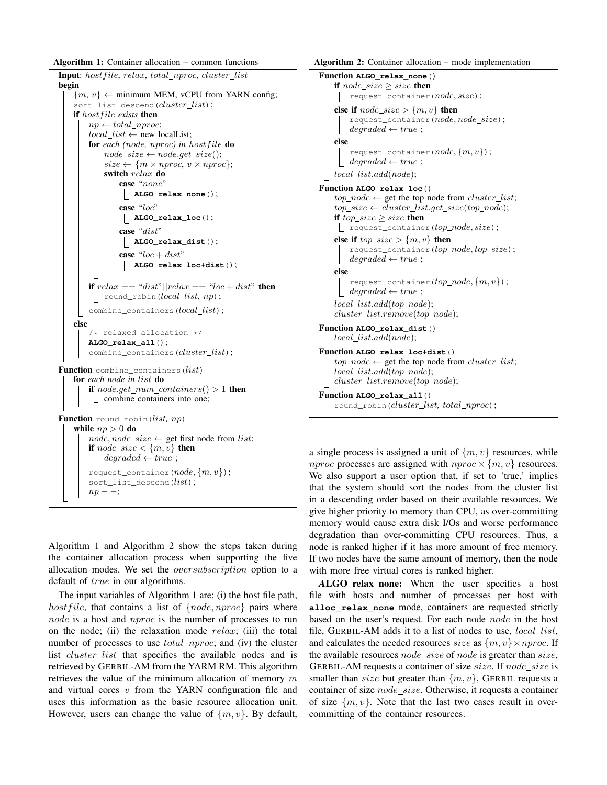Algorithm 1: Container allocation – common functions



Algorithm 1 and Algorithm 2 show the steps taken during the container allocation process when supporting the five allocation modes. We set the oversubscription option to a default of *true* in our algorithms.

The input variables of Algorithm 1 are: (i) the host file path, host file, that contains a list of  ${node, nproc}$  pairs where node is a host and *nproc* is the number of processes to run on the node; (ii) the relaxation mode  $relax$ ; (iii) the total number of processes to use  $total\_nproc$ ; and (iv) the cluster list cluster\_list that specifies the available nodes and is retrieved by GERBIL-AM from the YARM RM. This algorithm retrieves the value of the minimum allocation of memory  $m$ and virtual cores  $v$  from the YARN configuration file and uses this information as the basic resource allocation unit. However, users can change the value of  $\{m, v\}$ . By default,

#### Algorithm 2: Container allocation – mode implementation

```
Function ALGO_relax_none()
    if node\_size \geq size then
     | request_container(node, size);
    else if node\_size > \{m, v\} then
        request\_container(node, node\_size);degraded \leftarrow true;else
        request_container(node, \{m, v\});
       degraded \leftarrow true;local list.add(node);
Function ALGO_relax_loc()
    top\_node \leftarrow get the top node from cluster\_list;top\_size \leftarrow cluster\_list.get\_size(top\_node);if top\_size \geq size then
    \vert request_container(top_node, size);
    else if top\_size > \{m, v\} then
        request\_contact(top\_node, top\_size);degraded \leftarrow true;else
        request_container(top\_node, \{m, v\});
       degraded \leftarrow true;local\_list.add(top\_node);cluster list.remove(top node);
Function ALGO_relax_dist()
 | local_list.add(node);
Function ALGO_relax_loc+dist()
    top node \leftarrow get the top node from cluster list;
    local\_list.add(top\_node);cluster list.remove(top node);
Function ALGO_relax_all()
 | round_robin(cluster_list, total_nproc);
```
a single process is assigned a unit of  $\{m, v\}$  resources, while *nproc* processes are assigned with  $nproc \times \{m, v\}$  resources. We also support a user option that, if set to 'true,' implies that the system should sort the nodes from the cluster list in a descending order based on their available resources. We give higher priority to memory than CPU, as over-committing memory would cause extra disk I/Os and worse performance degradation than over-committing CPU resources. Thus, a node is ranked higher if it has more amount of free memory. If two nodes have the same amount of memory, then the node with more free virtual cores is ranked higher.

*A*LGO relax none: When the user specifies a host file with hosts and number of processes per host with **alloc\_relax\_none** mode, containers are requested strictly based on the user's request. For each node *node* in the host file, GERBIL-AM adds it to a list of nodes to use, local\_list, and calculates the needed resources size as  $\{m, v\} \times nproc$ . If the available resources  $node\_size$  of node is greater than  $size$ , GERBIL-AM requests a container of size size. If node size is smaller than *size* but greater than  $\{m, v\}$ , GERBIL requests a container of size  $node\_size$ . Otherwise, it requests a container of size  $\{m, v\}$ . Note that the last two cases result in overcommitting of the container resources.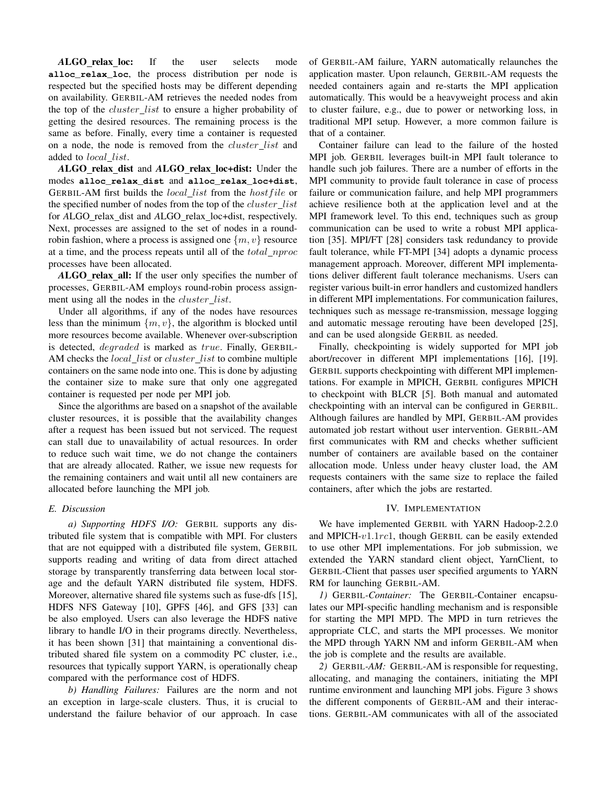*A*LGO relax loc: If the user selects mode **alloc\_relax\_loc**, the process distribution per node is respected but the specified hosts may be different depending on availability. GERBIL-AM retrieves the needed nodes from the top of the *cluster\_list* to ensure a higher probability of getting the desired resources. The remaining process is the same as before. Finally, every time a container is requested on a node, the node is removed from the *cluster\_list* and added to local list.

ALGO\_relax\_dist and *ALGO\_relax\_loc+dist:* Under the modes **alloc\_relax\_dist** and **alloc\_relax\_loc+dist**, GERBIL-AM first builds the *local\_list* from the *host file* or the specified number of nodes from the top of the *cluster\_list* for *ALGO\_relax\_dist and ALGO\_relax\_loc+dist*, respectively. Next, processes are assigned to the set of nodes in a roundrobin fashion, where a process is assigned one  $\{m, v\}$  resource at a time, and the process repeats until all of the total nproc processes have been allocated.

ALGO\_relax\_all: If the user only specifies the number of processes, GERBIL-AM employs round-robin process assignment using all the nodes in the *cluster\_list*.

Under all algorithms, if any of the nodes have resources less than the minimum  $\{m, v\}$ , the algorithm is blocked until more resources become available. Whenever over-subscription is detected, *degraded* is marked as true. Finally, GERBIL-AM checks the *local\_list* or *cluster\_list* to combine multiple containers on the same node into one. This is done by adjusting the container size to make sure that only one aggregated container is requested per node per MPI job.

Since the algorithms are based on a snapshot of the available cluster resources, it is possible that the availability changes after a request has been issued but not serviced. The request can stall due to unavailability of actual resources. In order to reduce such wait time, we do not change the containers that are already allocated. Rather, we issue new requests for the remaining containers and wait until all new containers are allocated before launching the MPI job.

# *E. Discussion*

*a) Supporting HDFS I/O:* GERBIL supports any distributed file system that is compatible with MPI. For clusters that are not equipped with a distributed file system, GERBIL supports reading and writing of data from direct attached storage by transparently transferring data between local storage and the default YARN distributed file system, HDFS. Moreover, alternative shared file systems such as fuse-dfs [15], HDFS NFS Gateway [10], GPFS [46], and GFS [33] can be also employed. Users can also leverage the HDFS native library to handle I/O in their programs directly. Nevertheless, it has been shown [31] that maintaining a conventional distributed shared file system on a commodity PC cluster, i.e., resources that typically support YARN, is operationally cheap compared with the performance cost of HDFS.

*b) Handling Failures:* Failures are the norm and not an exception in large-scale clusters. Thus, it is crucial to understand the failure behavior of our approach. In case of GERBIL-AM failure, YARN automatically relaunches the application master. Upon relaunch, GERBIL-AM requests the needed containers again and re-starts the MPI application automatically. This would be a heavyweight process and akin to cluster failure, e.g., due to power or networking loss, in traditional MPI setup. However, a more common failure is that of a container.

Container failure can lead to the failure of the hosted MPI job. GERBIL leverages built-in MPI fault tolerance to handle such job failures. There are a number of efforts in the MPI community to provide fault tolerance in case of process failure or communication failure, and help MPI programmers achieve resilience both at the application level and at the MPI framework level. To this end, techniques such as group communication can be used to write a robust MPI application [35]. MPI/FT [28] considers task redundancy to provide fault tolerance, while FT-MPI [34] adopts a dynamic process management approach. Moreover, different MPI implementations deliver different fault tolerance mechanisms. Users can register various built-in error handlers and customized handlers in different MPI implementations. For communication failures, techniques such as message re-transmission, message logging and automatic message rerouting have been developed [25], and can be used alongside GERBIL as needed.

Finally, checkpointing is widely supported for MPI job abort/recover in different MPI implementations [16], [19]. GERBIL supports checkpointing with different MPI implementations. For example in MPICH, GERBIL configures MPICH to checkpoint with BLCR [5]. Both manual and automated checkpointing with an interval can be configured in GERBIL. Although failures are handled by MPI, GERBIL-AM provides automated job restart without user intervention. GERBIL-AM first communicates with RM and checks whether sufficient number of containers are available based on the container allocation mode. Unless under heavy cluster load, the AM requests containers with the same size to replace the failed containers, after which the jobs are restarted.

# IV. IMPLEMENTATION

We have implemented GERBIL with YARN Hadoop-2.2.0 and MPICH- $v1.1rc1$ , though GERBIL can be easily extended to use other MPI implementations. For job submission, we extended the YARN standard client object, YarnClient, to GERBIL-Client that passes user specified arguments to YARN RM for launching GERBIL-AM.

*1)* GERBIL*-Container:* The GERBIL-Container encapsulates our MPI-specific handling mechanism and is responsible for starting the MPI MPD. The MPD in turn retrieves the appropriate CLC, and starts the MPI processes. We monitor the MPD through YARN NM and inform GERBIL-AM when the job is complete and the results are available.

*2)* GERBIL*-AM:* GERBIL-AM is responsible for requesting, allocating, and managing the containers, initiating the MPI runtime environment and launching MPI jobs. Figure 3 shows the different components of GERBIL-AM and their interactions. GERBIL-AM communicates with all of the associated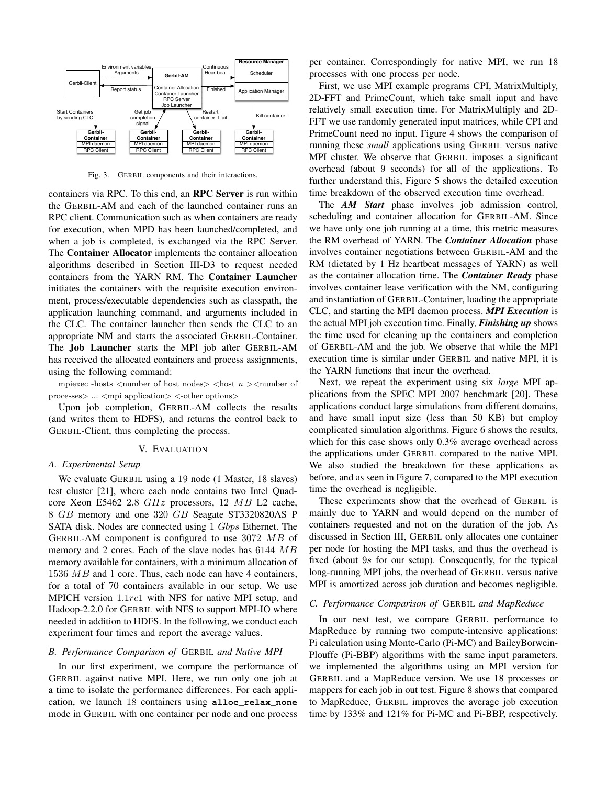

Fig. 3. GERBIL components and their interactions.

containers via RPC. To this end, an RPC Server is run within the GERBIL-AM and each of the launched container runs an RPC client. Communication such as when containers are ready for execution, when MPD has been launched/completed, and when a job is completed, is exchanged via the RPC Server. The Container Allocator implements the container allocation algorithms described in Section III-D3 to request needed containers from the YARN RM. The Container Launcher initiates the containers with the requisite execution environment, process/executable dependencies such as classpath, the application launching command, and arguments included in the CLC. The container launcher then sends the CLC to an appropriate NM and starts the associated GERBIL-Container. The Job Launcher starts the MPI job after GERBIL-AM has received the allocated containers and process assignments, using the following command:

mpiexec -hosts  $\langle$ number of host nodes $\rangle$   $\langle$ host n  $\rangle$  $\langle$ number of processes> ... <mpi application> <-other options>

Upon job completion, GERBIL-AM collects the results (and writes them to HDFS), and returns the control back to GERBIL-Client, thus completing the process.

#### V. EVALUATION

#### *A. Experimental Setup*

We evaluate GERBIL using a 19 node (1 Master, 18 slaves) test cluster [21], where each node contains two Intel Quadcore Xeon E5462 2.8 GHz processors, 12 MB L2 cache, 8 GB memory and one 320 GB Seagate ST3320820AS P SATA disk. Nodes are connected using 1 *Gbps* Ethernet. The GERBIL-AM component is configured to use 3072 MB of memory and 2 cores. Each of the slave nodes has 6144 MB memory available for containers, with a minimum allocation of 1536 MB and 1 core. Thus, each node can have 4 containers, for a total of 70 containers available in our setup. We use MPICH version 1.1rc1 with NFS for native MPI setup, and Hadoop-2.2.0 for GERBIL with NFS to support MPI-IO where needed in addition to HDFS. In the following, we conduct each experiment four times and report the average values.

## *B. Performance Comparison of* GERBIL *and Native MPI*

In our first experiment, we compare the performance of GERBIL against native MPI. Here, we run only one job at a time to isolate the performance differences. For each application, we launch 18 containers using **alloc\_relax\_none** mode in GERBIL with one container per node and one process per container. Correspondingly for native MPI, we run 18 processes with one process per node.

First, we use MPI example programs CPI, MatrixMultiply, 2D-FFT and PrimeCount, which take small input and have relatively small execution time. For MatrixMultiply and 2D-FFT we use randomly generated input matrices, while CPI and PrimeCount need no input. Figure 4 shows the comparison of running these *small* applications using GERBIL versus native MPI cluster. We observe that GERBIL imposes a significant overhead (about 9 seconds) for all of the applications. To further understand this, Figure 5 shows the detailed execution time breakdown of the observed execution time overhead.

The *AM Start* phase involves job admission control, scheduling and container allocation for GERBIL-AM. Since we have only one job running at a time, this metric measures the RM overhead of YARN. The *Container Allocation* phase involves container negotiations between GERBIL-AM and the RM (dictated by 1 Hz heartbeat messages of YARN) as well as the container allocation time. The *Container Ready* phase involves container lease verification with the NM, configuring and instantiation of GERBIL-Container, loading the appropriate CLC, and starting the MPI daemon process. *MPI Execution* is the actual MPI job execution time. Finally, *Finishing up* shows the time used for cleaning up the containers and completion of GERBIL-AM and the job. We observe that while the MPI execution time is similar under GERBIL and native MPI, it is the YARN functions that incur the overhead.

Next, we repeat the experiment using six *large* MPI applications from the SPEC MPI 2007 benchmark [20]. These applications conduct large simulations from different domains, and have small input size (less than 50 KB) but employ complicated simulation algorithms. Figure 6 shows the results, which for this case shows only 0.3% average overhead across the applications under GERBIL compared to the native MPI. We also studied the breakdown for these applications as before, and as seen in Figure 7, compared to the MPI execution time the overhead is negligible.

These experiments show that the overhead of GERBIL is mainly due to YARN and would depend on the number of containers requested and not on the duration of the job. As discussed in Section III, GERBIL only allocates one container per node for hosting the MPI tasks, and thus the overhead is fixed (about 9s for our setup). Consequently, for the typical long-running MPI jobs, the overhead of GERBIL versus native MPI is amortized across job duration and becomes negligible.

## *C. Performance Comparison of* GERBIL *and MapReduce*

In our next test, we compare GERBIL performance to MapReduce by running two compute-intensive applications: Pi calculation using Monte-Carlo (Pi-MC) and BaileyBorwein-Plouffe (Pi-BBP) algorithms with the same input parameters. we implemented the algorithms using an MPI version for GERBIL and a MapReduce version. We use 18 processes or mappers for each job in out test. Figure 8 shows that compared to MapReduce, GERBIL improves the average job execution time by 133% and 121% for Pi-MC and Pi-BBP, respectively.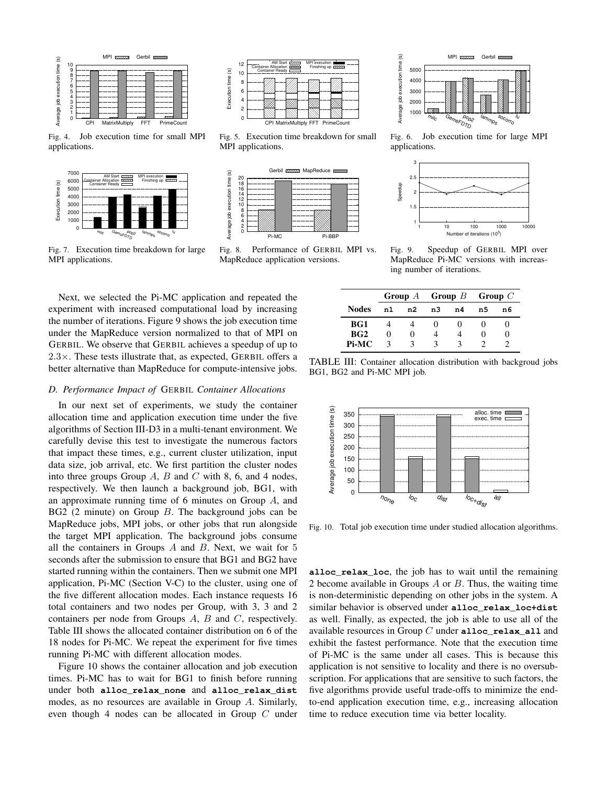

Fig. 4. Job execution time for small MPI applications.



Fig. 7. Execution time breakdown for large

MPI applications.



Fig. 5. Execution time breakdown for small MPI applications.



Fig. 8. Performance of GERBIL MPI vs. MapReduce application versions.

Next, we selected the Pi-MC application and repeated the experiment with increased computational load by increasing the number of iterations. Figure 9 shows the job execution time under the MapReduce version normalized to that of MPI on GERBIL. We observe that GERBIL achieves a speedup of up to  $2.3\times$ . These tests illustrate that, as expected, GERBIL offers a better alternative than MapReduce for compute-intensive jobs.

#### *D. Performance Impact of* GERBIL *Container Allocations*

In our next set of experiments, we study the container allocation time and application execution time under the five algorithms of Section III-D3 in a multi-tenant environment. We carefully devise this test to investigate the numerous factors that impact these times, e.g., current cluster utilization, input data size, job arrival, etc. We first partition the cluster nodes into three groups Group  $A$ ,  $B$  and  $C$  with 8, 6, and 4 nodes, respectively. We then launch a background job, BG1, with an approximate running time of 6 minutes on Group A, and  $BG2$  (2 minute) on Group  $B$ . The background jobs can be MapReduce jobs, MPI jobs, or other jobs that run alongside the target MPI application. The background jobs consume all the containers in Groups  $A$  and  $B$ . Next, we wait for  $5$ seconds after the submission to ensure that BG1 and BG2 have started running within the containers. Then we submit one MPI application, Pi-MC (Section V-C) to the cluster, using one of the five different allocation modes. Each instance requests 16 total containers and two nodes per Group, with 3, 3 and 2 containers per node from Groups  $A$ ,  $B$  and  $C$ , respectively. Table III shows the allocated container distribution on 6 of the 18 nodes for Pi-MC. We repeat the experiment for five times running Pi-MC with different allocation modes.

Figure 10 shows the container allocation and job execution times. Pi-MC has to wait for BG1 to finish before running under both **alloc\_relax\_none** and **alloc\_relax\_dist** modes, as no resources are available in Group A. Similarly, even though 4 nodes can be allocated in Group C under



Fig. 6. Job execution time for large MPI applications.



Fig. 9. Speedup of GERBIL MPI over MapReduce Pi-MC versions with increasing number of iterations.

|                 |                   |    | Group $A$ Group $B$ Group $C$ |    |                   |    |
|-----------------|-------------------|----|-------------------------------|----|-------------------|----|
| Nodes           | <b>n1</b>         | n2 | n3                            | n4 | n5                | n6 |
| <b>BG1</b>      |                   |    |                               |    |                   |    |
| BG <sub>2</sub> | $\mathbf{\Omega}$ | 0  |                               | 4  | $\mathbf{\Omega}$ |    |
| $Pi-MC$         | $\mathcal{R}$     | 3  | 3                             | κ  |                   |    |

TABLE III: Container allocation distribution with backgroud jobs BG1, BG2 and Pi-MC MPI job.



Fig. 10. Total job execution time under studied allocation algorithms.

**alloc\_relax\_loc**, the job has to wait until the remaining 2 become available in Groups A or B. Thus, the waiting time is non-deterministic depending on other jobs in the system. A similar behavior is observed under **alloc\_relax\_loc+dist** as well. Finally, as expected, the job is able to use all of the available resources in Group C under **alloc\_relax\_all** and exhibit the fastest performance. Note that the execution time of Pi-MC is the same under all cases. This is because this application is not sensitive to locality and there is no oversubscription. For applications that are sensitive to such factors, the five algorithms provide useful trade-offs to minimize the endto-end application execution time, e.g., increasing allocation time to reduce execution time via better locality.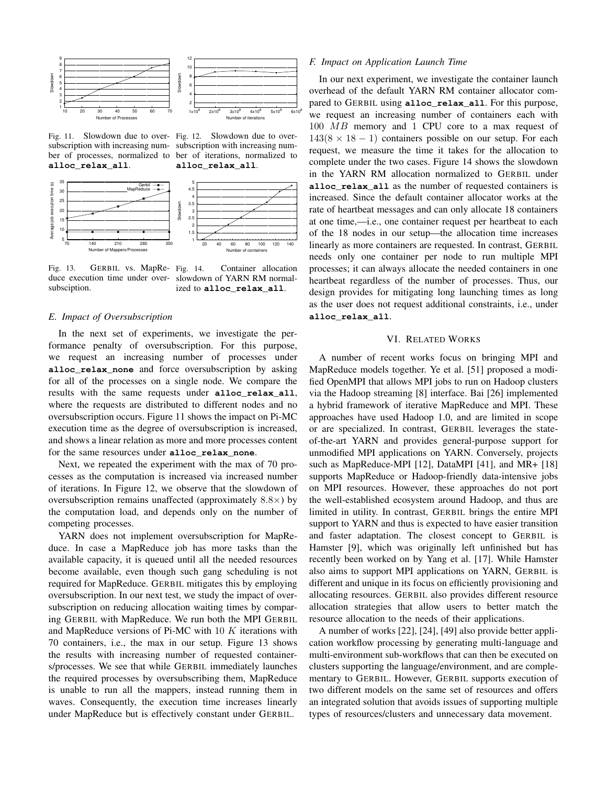



Fig. 11. Slowdown due to over-Fig. 12. Slowdown due to oversubscription with increasing num-subscription with increasing number of processes, normalized to ber of iterations, normalized to **alloc\_relax\_all**.



**alloc\_relax\_all**.



Fig. 13. GERBIL vs. MapRe- Fig. 14. duce execution time under over-slowdown of YARN RM normalsubsciption.

Container allocation ized to **alloc\_relax\_all**.

# *E. Impact of Oversubscription*

In the next set of experiments, we investigate the performance penalty of oversubscription. For this purpose, we request an increasing number of processes under **alloc\_relax\_none** and force oversubscription by asking for all of the processes on a single node. We compare the results with the same requests under **alloc\_relax\_all**, where the requests are distributed to different nodes and no oversubscription occurs. Figure 11 shows the impact on Pi-MC execution time as the degree of oversubscription is increased, and shows a linear relation as more and more processes content for the same resources under **alloc\_relax\_none**.

Next, we repeated the experiment with the max of 70 processes as the computation is increased via increased number of iterations. In Figure 12, we observe that the slowdown of oversubscription remains unaffected (approximately  $8.8 \times$ ) by the computation load, and depends only on the number of competing processes.

YARN does not implement oversubscription for MapReduce. In case a MapReduce job has more tasks than the available capacity, it is queued until all the needed resources become available, even though such gang scheduling is not required for MapReduce. GERBIL mitigates this by employing oversubscription. In our next test, we study the impact of oversubscription on reducing allocation waiting times by comparing GERBIL with MapReduce. We run both the MPI GERBIL and MapReduce versions of Pi-MC with  $10 K$  iterations with 70 containers, i.e., the max in our setup. Figure 13 shows the results with increasing number of requested containers/processes. We see that while GERBIL immediately launches the required processes by oversubscribing them, MapReduce is unable to run all the mappers, instead running them in waves. Consequently, the execution time increases linearly under MapReduce but is effectively constant under GERBIL.

#### *F. Impact on Application Launch Time*

In our next experiment, we investigate the container launch overhead of the default YARN RM container allocator compared to GERBIL using **alloc\_relax\_all**. For this purpose, we request an increasing number of containers each with 100 MB memory and 1 CPU core to a max request of  $143(8 \times 18 - 1)$  containers possible on our setup. For each request, we measure the time it takes for the allocation to complete under the two cases. Figure 14 shows the slowdown in the YARN RM allocation normalized to GERBIL under **alloc\_relax\_all** as the number of requested containers is increased. Since the default container allocator works at the rate of heartbeat messages and can only allocate 18 containers at one time,—i.e., one container request per heartbeat to each of the 18 nodes in our setup—the allocation time increases linearly as more containers are requested. In contrast, GERBIL needs only one container per node to run multiple MPI processes; it can always allocate the needed containers in one heartbeat regardless of the number of processes. Thus, our design provides for mitigating long launching times as long as the user does not request additional constraints, i.e., under **alloc\_relax\_all**.

## VI. RELATED WORKS

A number of recent works focus on bringing MPI and MapReduce models together. Ye et al. [51] proposed a modified OpenMPI that allows MPI jobs to run on Hadoop clusters via the Hadoop streaming [8] interface. Bai [26] implemented a hybrid framework of iterative MapReduce and MPI. These approaches have used Hadoop 1.0, and are limited in scope or are specialized. In contrast, GERBIL leverages the stateof-the-art YARN and provides general-purpose support for unmodified MPI applications on YARN. Conversely, projects such as MapReduce-MPI [12], DataMPI [41], and MR+ [18] supports MapReduce or Hadoop-friendly data-intensive jobs on MPI resources. However, these approaches do not port the well-established ecosystem around Hadoop, and thus are limited in utility. In contrast, GERBIL brings the entire MPI support to YARN and thus is expected to have easier transition and faster adaptation. The closest concept to GERBIL is Hamster [9], which was originally left unfinished but has recently been worked on by Yang et al. [17]. While Hamster also aims to support MPI applications on YARN, GERBIL is different and unique in its focus on efficiently provisioning and allocating resources. GERBIL also provides different resource allocation strategies that allow users to better match the resource allocation to the needs of their applications.

A number of works [22], [24], [49] also provide better application workflow processing by generating multi-language and multi-environment sub-workflows that can then be executed on clusters supporting the language/environment, and are complementary to GERBIL. However, GERBIL supports execution of two different models on the same set of resources and offers an integrated solution that avoids issues of supporting multiple types of resources/clusters and unnecessary data movement.